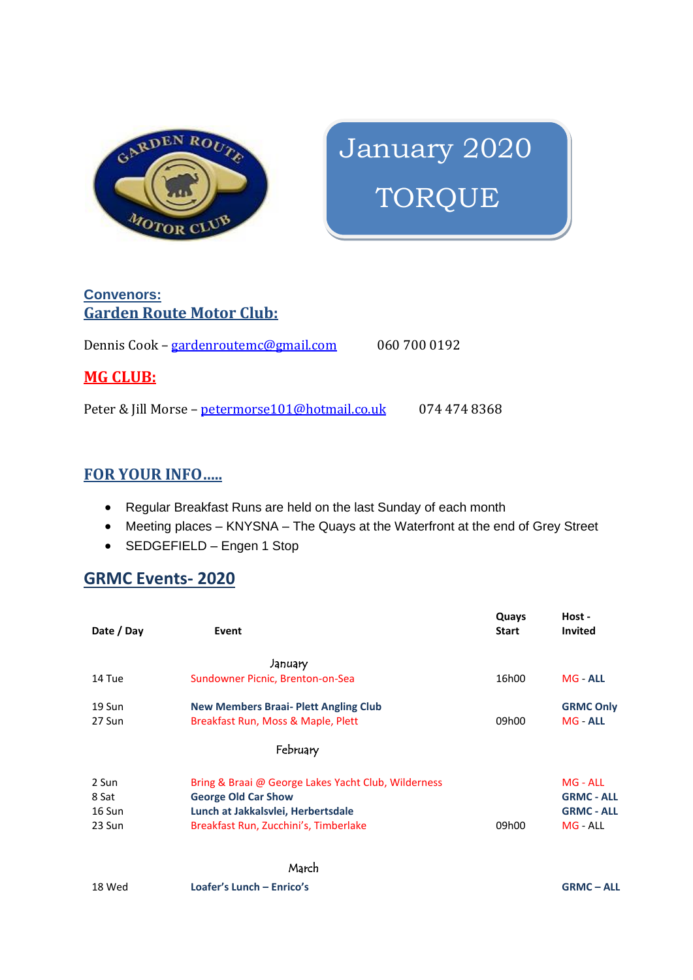

# January 2020 TORQUE

#### **Convenors: Garden Route Motor Club:**

Dennis Cook – [gardenroutemc@gmail.com](mailto:gardenroutemc@gmail.com) 060 700 0192

#### **MG CLUB:**

Peter & Jill Morse - [petermorse101@hotmail.co.uk](mailto:petermorse101@hotmail.co.uk) 074 474 8368

#### **FOR YOUR INFO…..**

- Regular Breakfast Runs are held on the last Sunday of each month
- Meeting places KNYSNA The Quays at the Waterfront at the end of Grey Street
- SEDGEFIELD Engen 1 Stop

#### **GRMC Events- 2020**

| Date / Day | Event                                               | Quays<br><b>Start</b> | Host -<br><b>Invited</b> |
|------------|-----------------------------------------------------|-----------------------|--------------------------|
|            | January                                             |                       |                          |
| 14 Tue     | Sundowner Picnic, Brenton-on-Sea                    | 16h00                 | <b>MG - ALL</b>          |
| 19 Sun     | <b>New Members Braai- Plett Angling Club</b>        |                       | <b>GRMC Only</b>         |
| 27 Sun     | Breakfast Run, Moss & Maple, Plett                  | 09h00                 | <b>MG - ALL</b>          |
|            | February                                            |                       |                          |
| 2 Sun      | Bring & Braai @ George Lakes Yacht Club, Wilderness |                       | $MG - ALL$               |
| 8 Sat      | <b>George Old Car Show</b>                          |                       | <b>GRMC - ALL</b>        |
| 16 Sun     | Lunch at Jakkalsvlei, Herbertsdale                  |                       | <b>GRMC - ALL</b>        |
| 23 Sun     | Breakfast Run, Zucchini's, Timberlake               | 09h00                 | MG - ALL                 |
|            | March                                               |                       |                          |
| 18 Wed     | Loafer's Lunch - Enrico's                           |                       | <b>GRMC-ALL</b>          |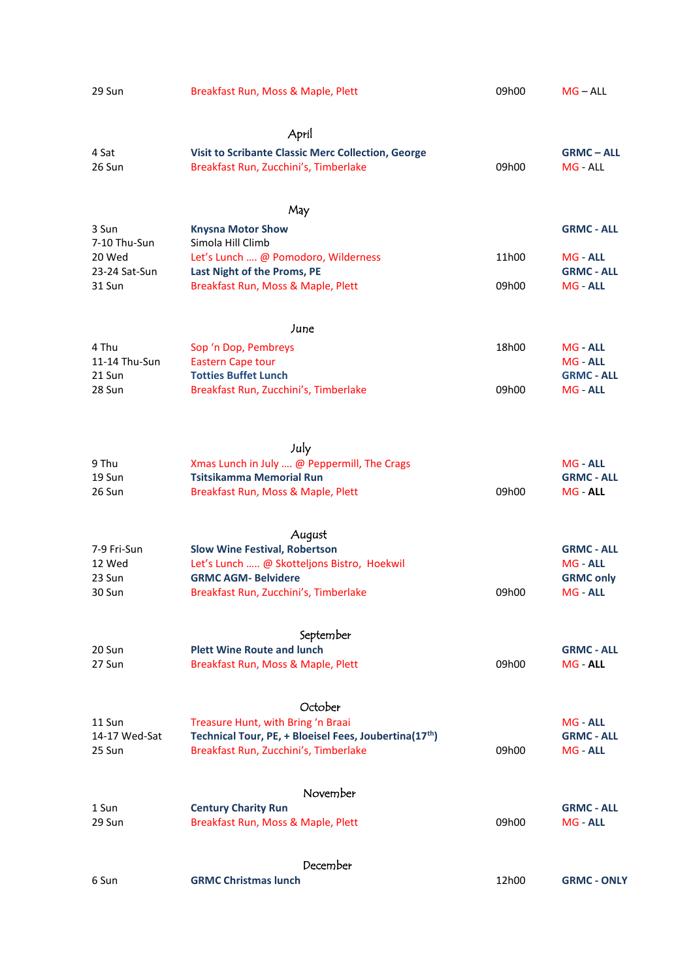| 29 Sun           | Breakfast Run, Moss & Maple, Plett                                             | 09h00 | $MG - ALL$                           |
|------------------|--------------------------------------------------------------------------------|-------|--------------------------------------|
|                  | April                                                                          |       |                                      |
| 4 Sat            | <b>Visit to Scribante Classic Merc Collection, George</b>                      |       | <b>GRMC-ALL</b>                      |
| 26 Sun           | Breakfast Run, Zucchini's, Timberlake                                          | 09h00 | MG - ALL                             |
|                  | May                                                                            |       |                                      |
| 3 Sun            | <b>Knysna Motor Show</b>                                                       |       | <b>GRMC - ALL</b>                    |
| 7-10 Thu-Sun     | Simola Hill Climb                                                              |       |                                      |
| 20 Wed           | Let's Lunch  @ Pomodoro, Wilderness                                            | 11h00 | MG ALL                               |
| 23-24 Sat-Sun    | Last Night of the Proms, PE                                                    |       | <b>GRMC - ALL</b>                    |
| 31 Sun           | Breakfast Run, Moss & Maple, Plett                                             | 09h00 | MG - ALL                             |
|                  | June                                                                           |       |                                      |
| 4 Thu            | Sop 'n Dop, Pembreys                                                           | 18h00 | MG - ALL                             |
| 11-14 Thu-Sun    | <b>Eastern Cape tour</b>                                                       |       | MG - ALL                             |
| 21 Sun           | <b>Totties Buffet Lunch</b>                                                    |       | <b>GRMC - ALL</b>                    |
| 28 Sun           | Breakfast Run, Zucchini's, Timberlake                                          | 09h00 | MG - ALL                             |
|                  |                                                                                |       |                                      |
|                  | July                                                                           |       |                                      |
| 9 Thu<br>19 Sun  | Xmas Lunch in July  @ Peppermill, The Crags<br><b>Tsitsikamma Memorial Run</b> |       | <b>MG - ALL</b><br><b>GRMC - ALL</b> |
| 26 Sun           | Breakfast Run, Moss & Maple, Plett                                             | 09h00 | MG - ALL                             |
|                  |                                                                                |       |                                      |
|                  | August                                                                         |       |                                      |
| 7-9 Fri-Sun      | <b>Slow Wine Festival, Robertson</b>                                           |       | <b>GRMC - ALL</b>                    |
| 12 Wed           | Let's Lunch  @ Skotteljons Bistro, Hoekwil<br><b>GRMC AGM- Belvidere</b>       |       | MG - ALL                             |
| 23 Sun<br>30 Sun |                                                                                | 09h00 | <b>GRMC only</b><br>MG - ALL         |
|                  | Breakfast Run, Zucchini's, Timberlake                                          |       |                                      |
|                  | September                                                                      |       |                                      |
| 20 Sun           | <b>Plett Wine Route and lunch</b>                                              |       | <b>GRMC - ALL</b>                    |
| 27 Sun           | Breakfast Run, Moss & Maple, Plett                                             | 09h00 | MG - ALL                             |
|                  | October                                                                        |       |                                      |
| 11 Sun           | Treasure Hunt, with Bring 'n Braai                                             |       | <b>MG - ALL</b>                      |
| 14-17 Wed-Sat    | Technical Tour, PE, + Bloeisel Fees, Joubertina(17 <sup>th</sup> )             |       | <b>GRMC - ALL</b>                    |
| 25 Sun           | Breakfast Run, Zucchini's, Timberlake                                          | 09h00 | MG ALL                               |
|                  | November                                                                       |       |                                      |
| 1 Sun            | <b>Century Charity Run</b>                                                     |       | <b>GRMC - ALL</b>                    |
| 29 Sun           | Breakfast Run, Moss & Maple, Plett                                             | 09h00 | MG - ALL                             |
|                  | December                                                                       |       |                                      |
| 6 Sun            | <b>GRMC Christmas lunch</b>                                                    | 12h00 | <b>GRMC - ONLY</b>                   |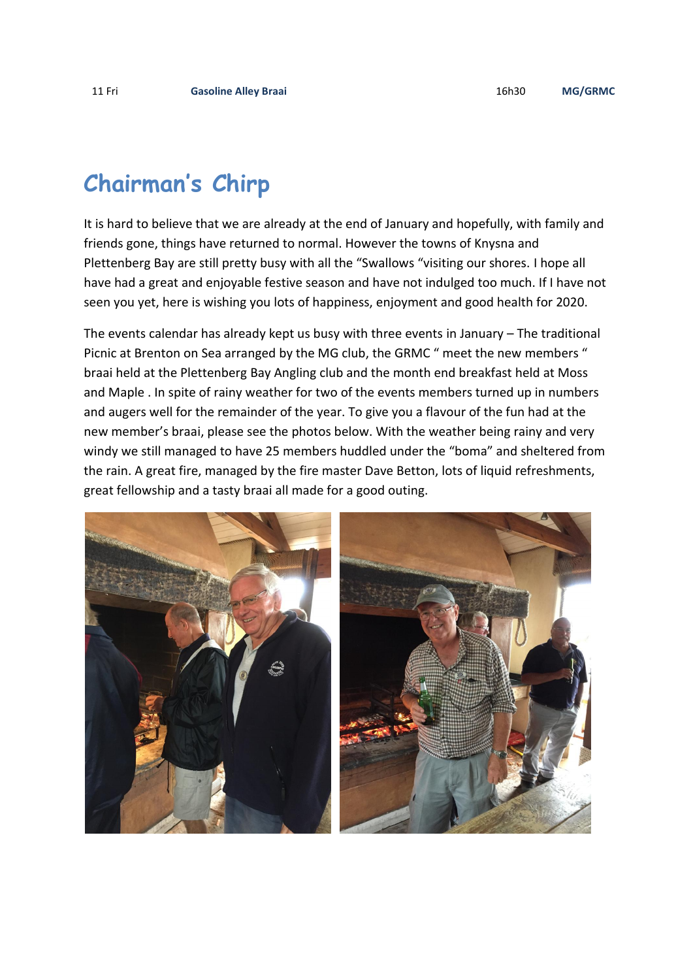# **Chairman's Chirp**

It is hard to believe that we are already at the end of January and hopefully, with family and friends gone, things have returned to normal. However the towns of Knysna and Plettenberg Bay are still pretty busy with all the "Swallows "visiting our shores. I hope all have had a great and enjoyable festive season and have not indulged too much. If I have not seen you yet, here is wishing you lots of happiness, enjoyment and good health for 2020.

The events calendar has already kept us busy with three events in January – The traditional Picnic at Brenton on Sea arranged by the MG club, the GRMC " meet the new members " braai held at the Plettenberg Bay Angling club and the month end breakfast held at Moss and Maple . In spite of rainy weather for two of the events members turned up in numbers and augers well for the remainder of the year. To give you a flavour of the fun had at the new member's braai, please see the photos below. With the weather being rainy and very windy we still managed to have 25 members huddled under the "boma" and sheltered from the rain. A great fire, managed by the fire master Dave Betton, lots of liquid refreshments, great fellowship and a tasty braai all made for a good outing.

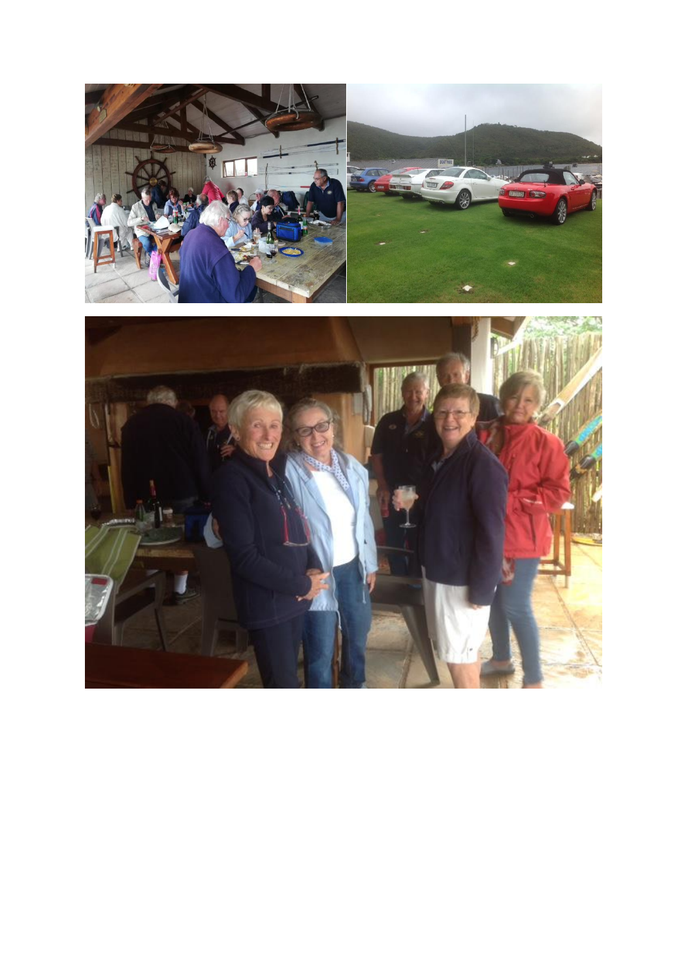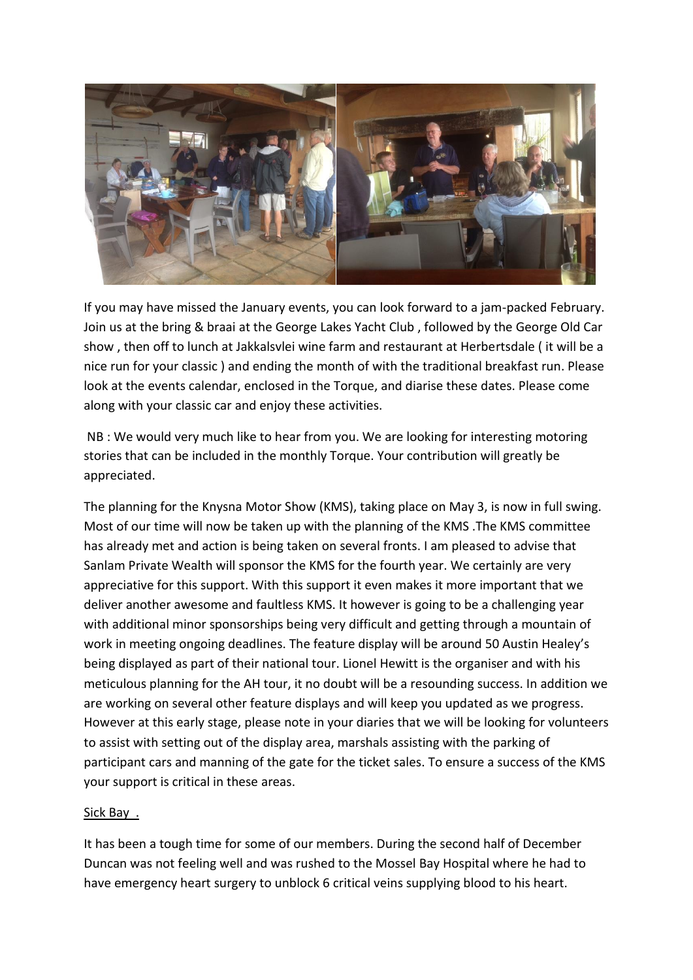

If you may have missed the January events, you can look forward to a jam-packed February. Join us at the bring & braai at the George Lakes Yacht Club , followed by the George Old Car show , then off to lunch at Jakkalsvlei wine farm and restaurant at Herbertsdale ( it will be a nice run for your classic ) and ending the month of with the traditional breakfast run. Please look at the events calendar, enclosed in the Torque, and diarise these dates. Please come along with your classic car and enjoy these activities.

NB : We would very much like to hear from you. We are looking for interesting motoring stories that can be included in the monthly Torque. Your contribution will greatly be appreciated.

The planning for the Knysna Motor Show (KMS), taking place on May 3, is now in full swing. Most of our time will now be taken up with the planning of the KMS .The KMS committee has already met and action is being taken on several fronts. I am pleased to advise that Sanlam Private Wealth will sponsor the KMS for the fourth year. We certainly are very appreciative for this support. With this support it even makes it more important that we deliver another awesome and faultless KMS. It however is going to be a challenging year with additional minor sponsorships being very difficult and getting through a mountain of work in meeting ongoing deadlines. The feature display will be around 50 Austin Healey's being displayed as part of their national tour. Lionel Hewitt is the organiser and with his meticulous planning for the AH tour, it no doubt will be a resounding success. In addition we are working on several other feature displays and will keep you updated as we progress. However at this early stage, please note in your diaries that we will be looking for volunteers to assist with setting out of the display area, marshals assisting with the parking of participant cars and manning of the gate for the ticket sales. To ensure a success of the KMS your support is critical in these areas.

#### Sick Bay .

It has been a tough time for some of our members. During the second half of December Duncan was not feeling well and was rushed to the Mossel Bay Hospital where he had to have emergency heart surgery to unblock 6 critical veins supplying blood to his heart.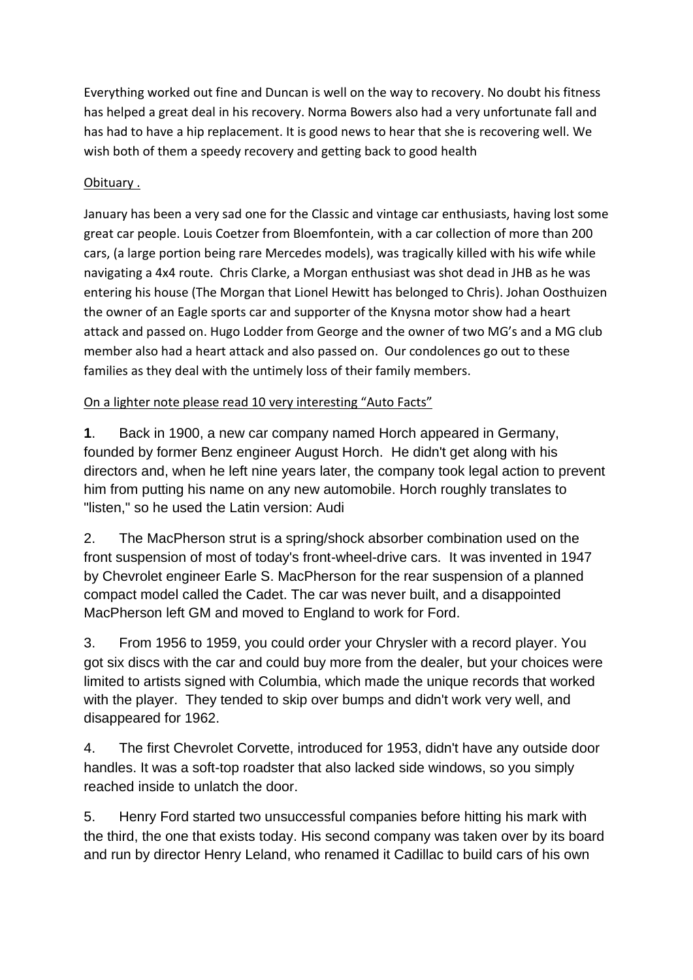Everything worked out fine and Duncan is well on the way to recovery. No doubt his fitness has helped a great deal in his recovery. Norma Bowers also had a very unfortunate fall and has had to have a hip replacement. It is good news to hear that she is recovering well. We wish both of them a speedy recovery and getting back to good health

#### Obituary .

January has been a very sad one for the Classic and vintage car enthusiasts, having lost some great car people. Louis Coetzer from Bloemfontein, with a car collection of more than 200 cars, (a large portion being rare Mercedes models), was tragically killed with his wife while navigating a 4x4 route. Chris Clarke, a Morgan enthusiast was shot dead in JHB as he was entering his house (The Morgan that Lionel Hewitt has belonged to Chris). Johan Oosthuizen the owner of an Eagle sports car and supporter of the Knysna motor show had a heart attack and passed on. Hugo Lodder from George and the owner of two MG's and a MG club member also had a heart attack and also passed on. Our condolences go out to these families as they deal with the untimely loss of their family members.

#### On a lighter note please read 10 very interesting "Auto Facts"

**1**. Back in 1900, a new car company named Horch appeared in Germany, founded by former Benz engineer August Horch. He didn't get along with his directors and, when he left nine years later, the company took legal action to prevent him from putting his name on any new automobile. Horch roughly translates to "listen," so he used the Latin version: Audi

2. The MacPherson strut is a spring/shock absorber combination used on the front suspension of most of today's front-wheel-drive cars. It was invented in 1947 by Chevrolet engineer Earle S. MacPherson for the rear suspension of a planned compact model called the Cadet. The car was never built, and a disappointed MacPherson left GM and moved to England to work for Ford.

3. From 1956 to 1959, you could order your Chrysler with a record player. You got six discs with the car and could buy more from the dealer, but your choices were limited to artists signed with Columbia, which made the unique records that worked with the player. They tended to skip over bumps and didn't work very well, and disappeared for 1962.

4. The first Chevrolet Corvette, introduced for 1953, didn't have any outside door handles. It was a soft-top roadster that also lacked side windows, so you simply reached inside to unlatch the door.

5. Henry Ford started two unsuccessful companies before hitting his mark with the third, the one that exists today. His second company was taken over by its board and run by director Henry Leland, who renamed it Cadillac to build cars of his own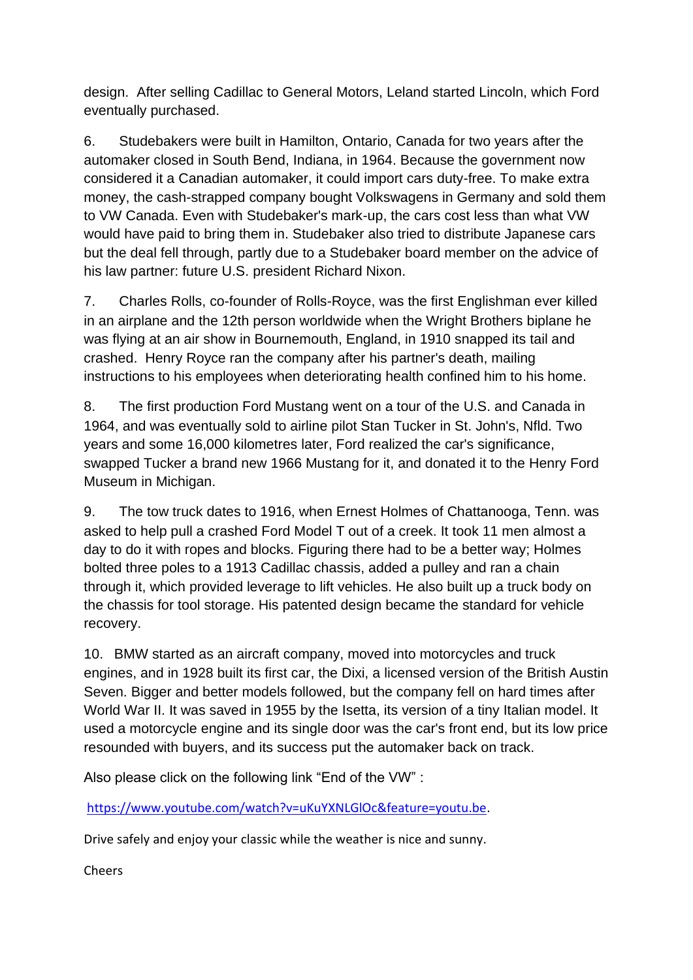design. After selling Cadillac to General Motors, Leland started Lincoln, which Ford eventually purchased.

6. Studebakers were built in Hamilton, Ontario, Canada for two years after the automaker closed in South Bend, Indiana, in 1964. Because the government now considered it a Canadian automaker, it could import cars duty-free. To make extra money, the cash-strapped company bought Volkswagens in Germany and sold them to VW Canada. Even with Studebaker's mark-up, the cars cost less than what VW would have paid to bring them in. Studebaker also tried to distribute Japanese cars but the deal fell through, partly due to a Studebaker board member on the advice of his law partner: future U.S. president Richard Nixon.

7. Charles Rolls, co-founder of Rolls-Royce, was the first Englishman ever killed in an airplane and the 12th person worldwide when the Wright Brothers biplane he was flying at an air show in Bournemouth, England, in 1910 snapped its tail and crashed. Henry Royce ran the company after his partner's death, mailing instructions to his employees when deteriorating health confined him to his home.

8. The first production Ford Mustang went on a tour of the U.S. and Canada in 1964, and was eventually sold to airline pilot Stan Tucker in St. John's, Nfld. Two years and some 16,000 kilometres later, Ford realized the car's significance, swapped Tucker a brand new 1966 Mustang for it, and donated it to the Henry Ford Museum in Michigan.

9. The tow truck dates to 1916, when Ernest Holmes of Chattanooga, Tenn. was asked to help pull a crashed Ford Model T out of a creek. It took 11 men almost a day to do it with ropes and blocks. Figuring there had to be a better way; Holmes bolted three poles to a 1913 Cadillac chassis, added a pulley and ran a chain through it, which provided leverage to lift vehicles. He also built up a truck body on the chassis for tool storage. His patented design became the standard for vehicle recovery.

10. BMW started as an aircraft company, moved into motorcycles and truck engines, and in 1928 built its first car, the Dixi, a licensed version of the British Austin Seven. Bigger and better models followed, but the company fell on hard times after World War II. It was saved in 1955 by the Isetta, its version of a tiny Italian model. It used a motorcycle engine and its single door was the car's front end, but its low price resounded with buyers, and its success put the automaker back on track.

Also please click on the following link "End of the VW" :

[https://www.youtube.com/watch?v=uKuYXNLGlOc&feature=youtu.be.](about:blank)

Drive safely and enjoy your classic while the weather is nice and sunny.

Cheers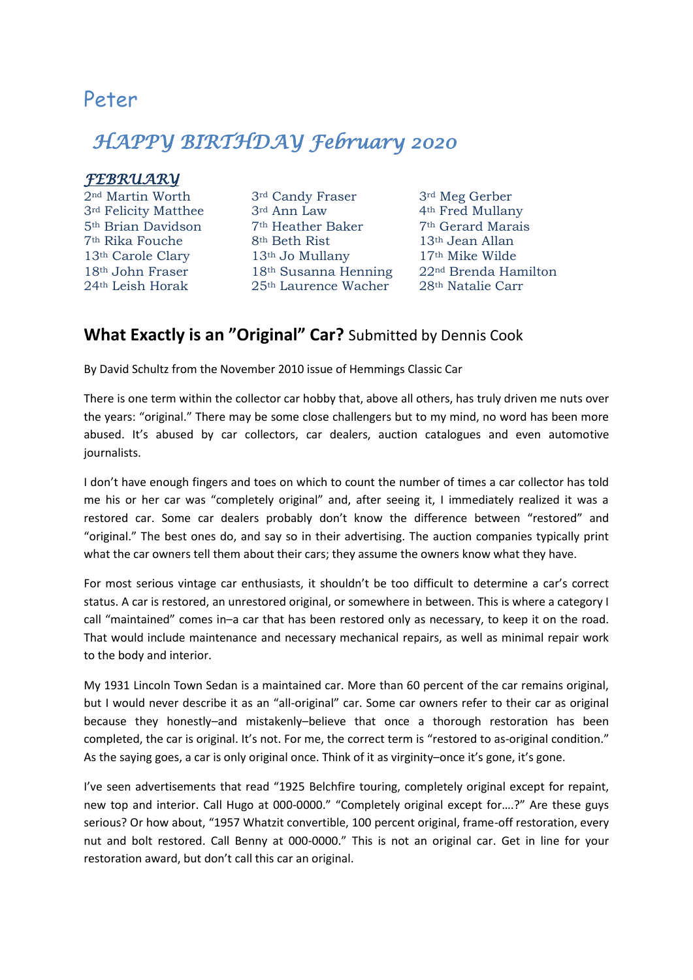### Peter

## *HAPPY BIRTHDAY February 2020*

#### *FEBRUARY*

2nd Martin Worth 3rd Candy Fraser 3rd Meg Gerber 3rd Felicity Matthee 3rd Ann Law 4th Fred Mullany  $5<sup>th</sup> Brian$  Davidson  $7<sup>th</sup>$  Heather Baker  $7<sup>th</sup>$  Gerard Marais  $7<sup>th</sup>$  Rika Fouche  $8<sup>th</sup>$  Beth Rist  $13<sup>th</sup>$  Jean Allan 7<sup>th</sup> Rika Fouche 8<sup>th</sup> Beth Rist 13<sup>th</sup> Jean Allan 13<sup>th</sup> Carole Clary 13<sup>th</sup> Jo Mullany 17<sup>th</sup> Mike Wilde 18th John Fraser 18th Susanna Henning 22nd Brenda Hamilton 24th Leish Horak 25th Laurence Wacher 28th Natalie Carr

#### **What Exactly is an "Original" Car?** Submitted by Dennis Cook

By David Schultz from the November 2010 issue of Hemmings Classic Car

There is one term within the collector car hobby that, above all others, has truly driven me nuts over the years: "original." There may be some close challengers but to my mind, no word has been more abused. It's abused by car collectors, car dealers, auction catalogues and even automotive journalists.

I don't have enough fingers and toes on which to count the number of times a car collector has told me his or her car was "completely original" and, after seeing it, I immediately realized it was a restored car. Some car dealers probably don't know the difference between "restored" and "original." The best ones do, and say so in their advertising. The auction companies typically print what the car owners tell them about their cars; they assume the owners know what they have.

For most serious vintage car enthusiasts, it shouldn't be too difficult to determine a car's correct status. A car is restored, an unrestored original, or somewhere in between. This is where a category I call "maintained" comes in–a car that has been restored only as necessary, to keep it on the road. That would include maintenance and necessary mechanical repairs, as well as minimal repair work to the body and interior.

My 1931 Lincoln Town Sedan is a maintained car. More than 60 percent of the car remains original, but I would never describe it as an "all-original" car. Some car owners refer to their car as original because they honestly–and mistakenly–believe that once a thorough restoration has been completed, the car is original. It's not. For me, the correct term is "restored to as-original condition." As the saying goes, a car is only original once. Think of it as virginity–once it's gone, it's gone.

I've seen advertisements that read "1925 Belchfire touring, completely original except for repaint, new top and interior. Call Hugo at 000-0000." "Completely original except for….?" Are these guys serious? Or how about, "1957 Whatzit convertible, 100 percent original, frame-off restoration, every nut and bolt restored. Call Benny at 000-0000." This is not an original car. Get in line for your restoration award, but don't call this car an original.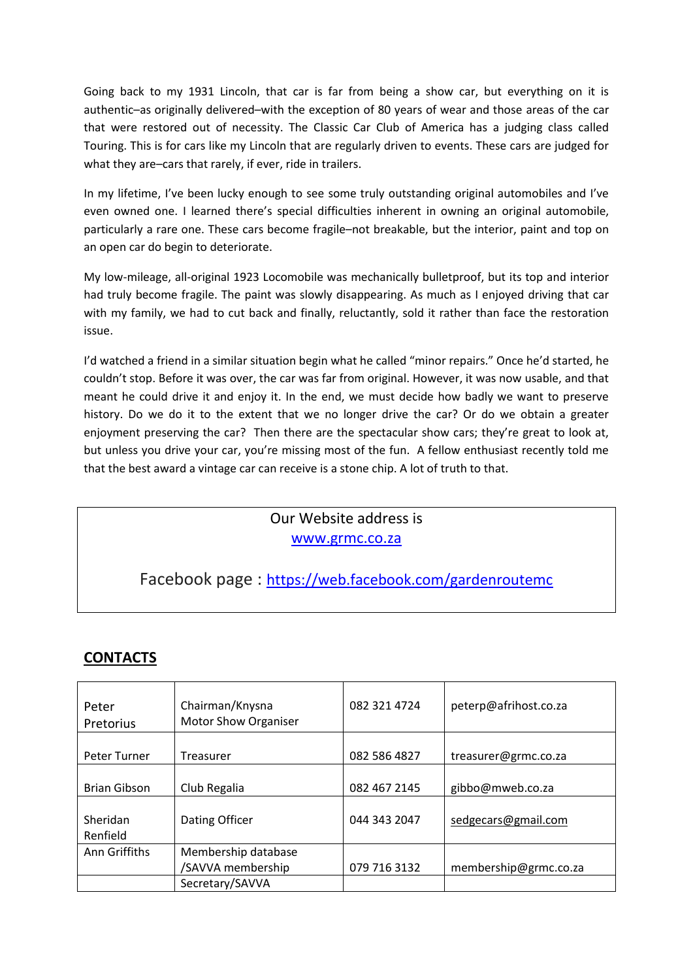Going back to my 1931 Lincoln, that car is far from being a show car, but everything on it is authentic–as originally delivered–with the exception of 80 years of wear and those areas of the car that were restored out of necessity. The Classic Car Club of America has a judging class called Touring. This is for cars like my Lincoln that are regularly driven to events. These cars are judged for what they are–cars that rarely, if ever, ride in trailers.

In my lifetime, I've been lucky enough to see some truly outstanding original automobiles and I've even owned one. I learned there's special difficulties inherent in owning an original automobile, particularly a rare one. These cars become fragile–not breakable, but the interior, paint and top on an open car do begin to deteriorate.

My low-mileage, all-original 1923 Locomobile was mechanically bulletproof, but its top and interior had truly become fragile. The paint was slowly disappearing. As much as I enjoyed driving that car with my family, we had to cut back and finally, reluctantly, sold it rather than face the restoration issue.

I'd watched a friend in a similar situation begin what he called "minor repairs." Once he'd started, he couldn't stop. Before it was over, the car was far from original. However, it was now usable, and that meant he could drive it and enjoy it. In the end, we must decide how badly we want to preserve history. Do we do it to the extent that we no longer drive the car? Or do we obtain a greater enjoyment preserving the car? Then there are the spectacular show cars; they're great to look at, but unless you drive your car, you're missing most of the fun. A fellow enthusiast recently told me that the best award a vintage car can receive is a stone chip. A lot of truth to that.

#### Our Website address is [www.grmc.co.za](http://www.grmc.co.za/)

Facebook page : <https://web.facebook.com/gardenroutemc>

#### **CONTACTS**

| Peter<br>Pretorius  | Chairman/Knysna<br><b>Motor Show Organiser</b> | 082 321 4724 | peterp@afrihost.co.za |
|---------------------|------------------------------------------------|--------------|-----------------------|
|                     |                                                |              |                       |
| Peter Turner        | Treasurer                                      | 082 586 4827 | treasurer@grmc.co.za  |
|                     |                                                |              |                       |
| <b>Brian Gibson</b> | Club Regalia                                   | 082 467 2145 | gibbo@mweb.co.za      |
|                     |                                                |              |                       |
| Sheridan            | Dating Officer                                 | 044 343 2047 | sedgecars@gmail.com   |
| Renfield            |                                                |              |                       |
| Ann Griffiths       | Membership database                            |              |                       |
|                     | /SAVVA membership                              | 079 716 3132 | membership@grmc.co.za |
|                     | Secretary/SAVVA                                |              |                       |